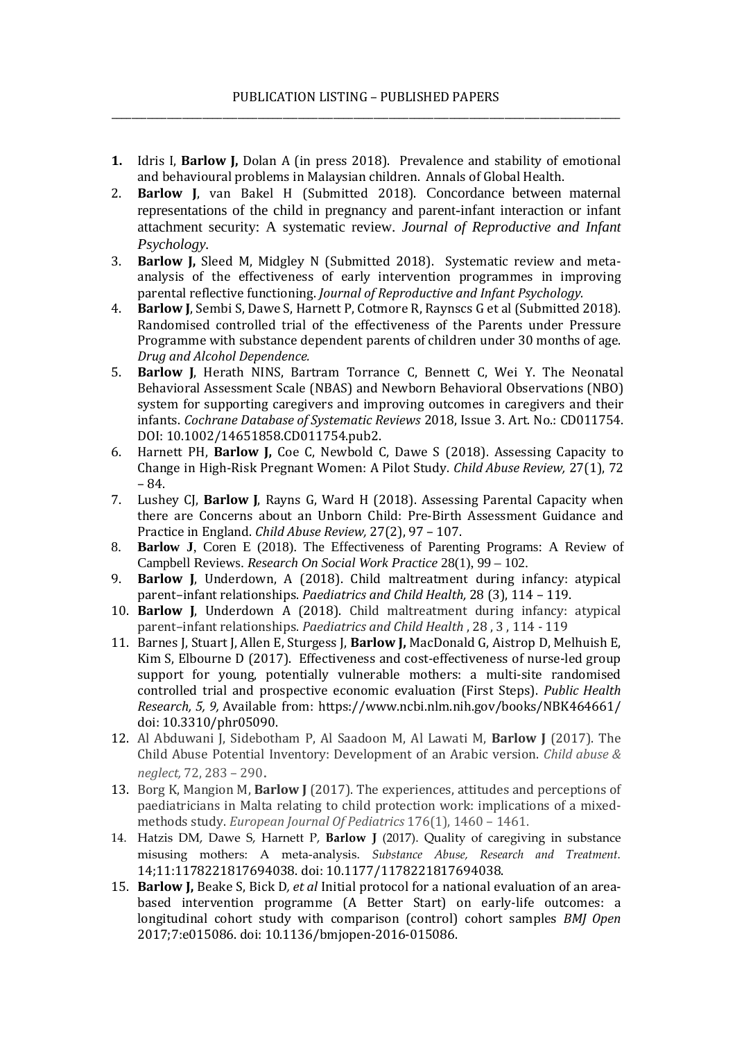- **1.** Idris I, **Barlow J,** Dolan A (in press 2018). Prevalence and stability of emotional and behavioural problems in Malaysian children. Annals of Global Health.
- 2. **Barlow J**, van Bakel H (Submitted 2018). Concordance between maternal representations of the child in pregnancy and parent-infant interaction or infant attachment security: A systematic review. *Journal of Reproductive and Infant Psychology.*
- 3. **Barlow J,** Sleed M, Midgley N (Submitted 2018). Systematic review and metaanalysis of the effectiveness of early intervention programmes in improving parental reflective functioning. *Journal of Reproductive and Infant Psychology.*
- 4. **Barlow J**, Sembi S, Dawe S, Harnett P, Cotmore R, Raynscs G et al (Submitted 2018). Randomised controlled trial of the effectiveness of the Parents under Pressure Programme with substance dependent parents of children under 30 months of age. *Drug and Alcohol Dependence.*
- 5. **Barlow J**, Herath NINS, Bartram Torrance C, Bennett C, Wei Y. The Neonatal Behavioral Assessment Scale (NBAS) and Newborn Behavioral Observations (NBO) system for supporting caregivers and improving outcomes in caregivers and their infants. *Cochrane Database of Systematic Reviews* 2018, Issue 3. Art. No.: CD011754. DOI: 10.1002/14651858.CD011754.pub2.
- 6. Harnett PH, **Barlow J,** Coe C, Newbold C, Dawe S (2018). Assessing Capacity to Change in High-Risk Pregnant Women: A Pilot Study. *Child Abuse Review,* 27(1), 72 – 84.
- 7. Lushey CJ, **Barlow J**, Rayns G, Ward H (2018). Assessing Parental Capacity when there are Concerns about an Unborn Child: Pre-Birth Assessment Guidance and Practice in England. *Child Abuse Review,* 27(2), 97 – 107.
- 8. **Barlow J**, Coren E (2018). The Effectiveness of Parenting Programs: A Review of Campbell Reviews. *Research On Social Work Practice* 28(1), 99 – 102.
- 9. **Barlow J**, Underdown, A (2018). Child maltreatment during infancy: atypical parent–infant relationships. *Paediatrics and Child Health,* 28 (3), 114 – 119.
- 10. **Barlow J**, Underdown A (2018). Child maltreatment during infancy: atypical parent–infant relationships. *Paediatrics and Child Health* , 28 , 3 , 114 - 119
- 11. Barnes J, Stuart J, Allen E, Sturgess J, **Barlow J,** MacDonald G, Aistrop D, Melhuish E, Kim S, Elbourne D (2017). Effectiveness and cost-effectiveness of nurse-led group support for young, potentially vulnerable mothers: a multi-site randomised controlled trial and prospective economic evaluation (First Steps). *Public Health Research, 5, 9,* Available from: https://www.ncbi.nlm.nih.gov/books/NBK464661/ doi: 10.3310/phr05090.
- 12. Al Abduwani J, Sidebotham P, Al Saadoon M, Al Lawati M, **Barlow J** (2017). The Child Abuse Potential Inventory: Development of an Arabic version. *Child abuse & neglect,* 72, 283 – 290.
- 13. Borg K, Mangion M, **Barlow J** (2017). The experiences, attitudes and perceptions of paediatricians in Malta relating to child protection work: implications of a mixedmethods study. *European Journal Of Pediatrics* 176(1), 1460 – 1461.
- 14. Hatzis DM, Dawe S, Harnett P, **Barlow J** (2017). Quality of caregiving in substance misusing mothers: A meta-analysis. *Substance Abuse, Research and Treatment.*  14;11:1178221817694038. doi: 10.1177/1178221817694038.
- 15. **Barlow J,** Beake S, Bick D*, et al* Initial protocol for a national evaluation of an areabased intervention programme (A Better Start) on early-life outcomes: a longitudinal cohort study with comparison (control) cohort samples *BMJ Open*  2017;7:e015086. doi: 10.1136/bmjopen-2016-015086.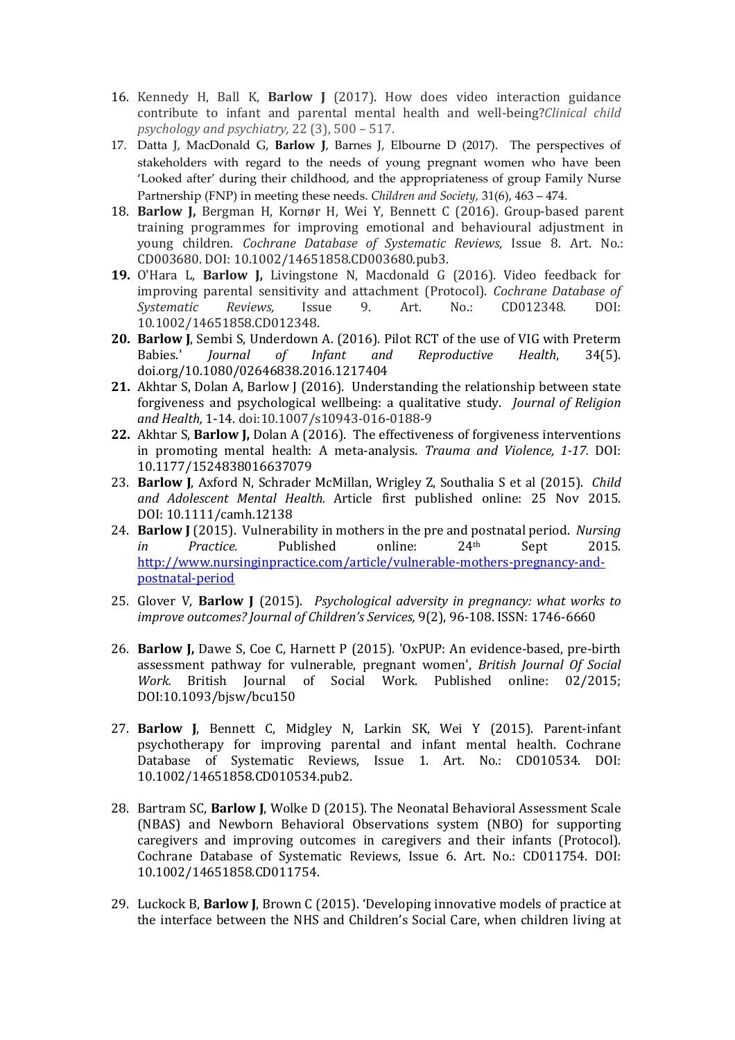- 16. Kennedy H, Ball K, **Barlow J** (2017). How does video interaction guidance contribute to infant and parental mental health and well-being?*Clinical child psychology and psychiatry,* 22 (3), 500 – 517.
- 17. Datta J, MacDonald G, **Barlow J**, Barnes J, Elbourne D (2017). The perspectives of stakeholders with regard to the needs of young pregnant women who have been 'Looked after' during their childhood, and the appropriateness of group Family Nurse Partnership (FNP) in meeting these needs. *Children and Society,* 31(6), 463 – 474.
- 18. **Barlow J,** Bergman H, Kornør H, Wei Y, Bennett C (2016). Group-based parent training programmes for improving emotional and behavioural adjustment in young children. *Cochrane Database of Systematic Reviews*, Issue 8. Art. No.: CD003680. DOI: 10.1002/14651858.CD003680.pub3.
- **19.** O'Hara L, **Barlow J,** Livingstone N, Macdonald G (2016). Video feedback for improving parental sensitivity and attachment (Protocol). *Cochrane Database of Systematic Reviews,* Issue 9. Art. No.: CD012348. DOI: 10.1002/14651858.CD012348.
- **20. Barlow J**, Sembi S, Underdown A. (2016). Pilot RCT of the use of VIG with Preterm Babies.' *Journal of Infant and Reproductive Health*, 34(5).  $Re$ *productive* doi.org/10.1080/02646838.2016.1217404
- **21.** Akhtar S, Dolan A, Barlow J (2016). Understanding the relationship between state forgiveness and psychological wellbeing: a qualitative study. *Journal of Religion and Health,* 1-14. doi:10.1007/s10943-016-0188-9
- **22.** Akhtar S, **Barlow J,** Dolan A (2016). The effectiveness of forgiveness interventions in promoting mental health: A meta-analysis. *Trauma and Violence, 1-17.* DOI: 10.1177/1524838016637079
- 23. **Barlow J**, Axford N, Schrader McMillan, Wrigley Z, Southalia S et al (2015). *Child and Adolescent Mental Health.* Article first published online: 25 Nov 2015. DOI: 10.1111/camh.12138
- 24. **Barlow J** (2015). Vulnerability in mothers in the pre and postnatal period. *Nursing in Practice.* Published online: 24th Sept 2015. [http://www.nursinginpractice.com/article/vulnerable-mothers-pregnancy-and](http://www.nursinginpractice.com/article/vulnerable-mothers-pregnancy-and-postnatal-period)[postnatal-period](http://www.nursinginpractice.com/article/vulnerable-mothers-pregnancy-and-postnatal-period)
- 25. Glover V, **Barlow J** (2015). *[Psychological adversity in pregnancy: what works to](http://www.emeraldinsight.com/doi/full/10.1108/JCS-01-2014-0003)  [improve outcomes?](http://www.emeraldinsight.com/doi/full/10.1108/JCS-01-2014-0003) Journal of Children's Services,* 9(2), 96-108. ISSN: 1746-6660
- 26. **Barlow J,** Dawe S, Coe C, Harnett P (2015). 'OxPUP: An evidence-based, pre-birth assessment pathway for vulnerable, pregnant women', *British Journal Of Social Work.* British Journal of Social Work. Published online: 02/2015; DOI:10.1093/bjsw/bcu150
- 27. **Barlow J**, Bennett C, Midgley N, Larkin SK, Wei Y (2015). Parent-infant psychotherapy for improving parental and infant mental health. Cochrane Database of Systematic Reviews, Issue 1. Art. No.: CD010534. DOI: 10.1002/14651858.CD010534.pub2.
- 28. Bartram SC, **Barlow J**, Wolke D (2015). The Neonatal Behavioral Assessment Scale (NBAS) and Newborn Behavioral Observations system (NBO) for supporting caregivers and improving outcomes in caregivers and their infants (Protocol). Cochrane Database of Systematic Reviews, Issue 6. Art. No.: CD011754. DOI: 10.1002/14651858.CD011754.
- 29. Luckock B, **Barlow J**, Brown C (2015). 'Developing innovative models of practice at the interface between the NHS and Children's Social Care, when children living at